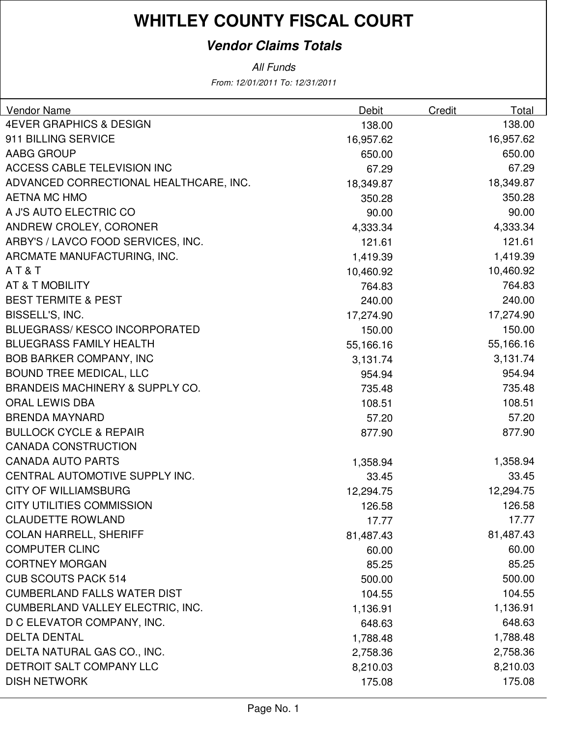#### **Vendor Claims Totals**

| Vendor Name                                | Debit     | Credit | Total     |
|--------------------------------------------|-----------|--------|-----------|
| <b>4EVER GRAPHICS &amp; DESIGN</b>         | 138.00    |        | 138.00    |
| 911 BILLING SERVICE                        | 16,957.62 |        | 16,957.62 |
| AABG GROUP                                 | 650.00    |        | 650.00    |
| <b>ACCESS CABLE TELEVISION INC</b>         | 67.29     |        | 67.29     |
| ADVANCED CORRECTIONAL HEALTHCARE, INC.     | 18,349.87 |        | 18,349.87 |
| <b>AETNA MC HMO</b>                        | 350.28    |        | 350.28    |
| A J'S AUTO ELECTRIC CO                     | 90.00     |        | 90.00     |
| ANDREW CROLEY, CORONER                     | 4,333.34  |        | 4,333.34  |
| ARBY'S / LAVCO FOOD SERVICES, INC.         | 121.61    |        | 121.61    |
| ARCMATE MANUFACTURING, INC.                | 1,419.39  |        | 1,419.39  |
| AT&T                                       | 10,460.92 |        | 10,460.92 |
| AT & T MOBILITY                            | 764.83    |        | 764.83    |
| <b>BEST TERMITE &amp; PEST</b>             | 240.00    |        | 240.00    |
| BISSELL'S, INC.                            | 17,274.90 |        | 17,274.90 |
| BLUEGRASS/KESCO INCORPORATED               | 150.00    |        | 150.00    |
| <b>BLUEGRASS FAMILY HEALTH</b>             | 55,166.16 |        | 55,166.16 |
| <b>BOB BARKER COMPANY, INC</b>             | 3,131.74  |        | 3,131.74  |
| <b>BOUND TREE MEDICAL, LLC</b>             | 954.94    |        | 954.94    |
| <b>BRANDEIS MACHINERY &amp; SUPPLY CO.</b> | 735.48    |        | 735.48    |
| <b>ORAL LEWIS DBA</b>                      | 108.51    |        | 108.51    |
| <b>BRENDA MAYNARD</b>                      | 57.20     |        | 57.20     |
| <b>BULLOCK CYCLE &amp; REPAIR</b>          | 877.90    |        | 877.90    |
| <b>CANADA CONSTRUCTION</b>                 |           |        |           |
| <b>CANADA AUTO PARTS</b>                   | 1,358.94  |        | 1,358.94  |
| CENTRAL AUTOMOTIVE SUPPLY INC.             | 33.45     |        | 33.45     |
| <b>CITY OF WILLIAMSBURG</b>                | 12,294.75 |        | 12,294.75 |
| <b>CITY UTILITIES COMMISSION</b>           | 126.58    |        | 126.58    |
| <b>CLAUDETTE ROWLAND</b>                   | 17.77     |        | 17.77     |
| <b>COLAN HARRELL, SHERIFF</b>              | 81,487.43 |        | 81,487.43 |
| <b>COMPUTER CLINC</b>                      | 60.00     |        | 60.00     |
| <b>CORTNEY MORGAN</b>                      | 85.25     |        | 85.25     |
| <b>CUB SCOUTS PACK 514</b>                 | 500.00    |        | 500.00    |
| <b>CUMBERLAND FALLS WATER DIST</b>         | 104.55    |        | 104.55    |
| <b>CUMBERLAND VALLEY ELECTRIC, INC.</b>    | 1,136.91  |        | 1,136.91  |
| D C ELEVATOR COMPANY, INC.                 | 648.63    |        | 648.63    |
| <b>DELTA DENTAL</b>                        | 1,788.48  |        | 1,788.48  |
| DELTA NATURAL GAS CO., INC.                | 2,758.36  |        | 2,758.36  |
| DETROIT SALT COMPANY LLC                   | 8,210.03  |        | 8,210.03  |
| <b>DISH NETWORK</b>                        | 175.08    |        | 175.08    |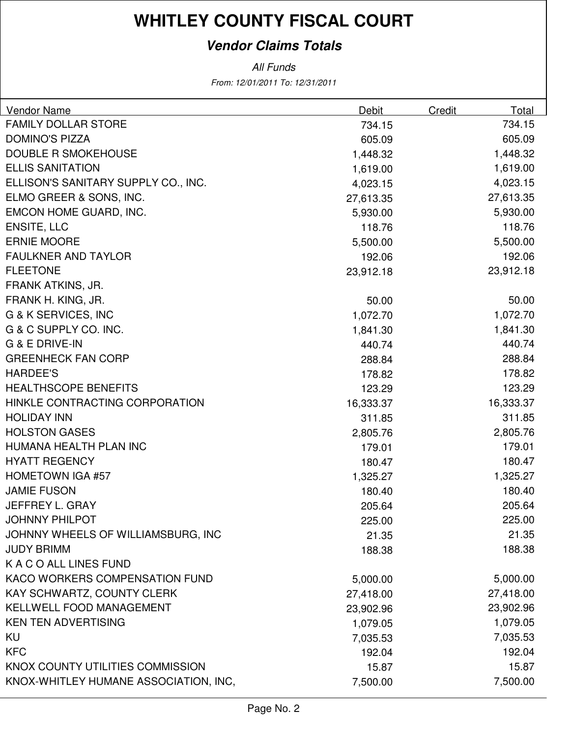#### **Vendor Claims Totals**

| Vendor Name                           | <b>Debit</b> | <b>Credit</b> | Total     |
|---------------------------------------|--------------|---------------|-----------|
| <b>FAMILY DOLLAR STORE</b>            | 734.15       |               | 734.15    |
| <b>DOMINO'S PIZZA</b>                 | 605.09       |               | 605.09    |
| <b>DOUBLE R SMOKEHOUSE</b>            | 1,448.32     |               | 1,448.32  |
| <b>ELLIS SANITATION</b>               | 1,619.00     |               | 1,619.00  |
| ELLISON'S SANITARY SUPPLY CO., INC.   | 4,023.15     |               | 4,023.15  |
| ELMO GREER & SONS, INC.               | 27,613.35    |               | 27,613.35 |
| EMCON HOME GUARD, INC.                | 5,930.00     |               | 5,930.00  |
| <b>ENSITE, LLC</b>                    | 118.76       |               | 118.76    |
| <b>ERNIE MOORE</b>                    | 5,500.00     |               | 5,500.00  |
| <b>FAULKNER AND TAYLOR</b>            | 192.06       |               | 192.06    |
| <b>FLEETONE</b>                       | 23,912.18    |               | 23,912.18 |
| FRANK ATKINS, JR.                     |              |               |           |
| FRANK H. KING, JR.                    | 50.00        |               | 50.00     |
| G & K SERVICES, INC                   | 1,072.70     |               | 1,072.70  |
| G & C SUPPLY CO. INC.                 | 1,841.30     |               | 1,841.30  |
| G & E DRIVE-IN                        | 440.74       |               | 440.74    |
| <b>GREENHECK FAN CORP</b>             | 288.84       |               | 288.84    |
| <b>HARDEE'S</b>                       | 178.82       |               | 178.82    |
| <b>HEALTHSCOPE BENEFITS</b>           | 123.29       |               | 123.29    |
| HINKLE CONTRACTING CORPORATION        | 16,333.37    |               | 16,333.37 |
| <b>HOLIDAY INN</b>                    | 311.85       |               | 311.85    |
| <b>HOLSTON GASES</b>                  | 2,805.76     |               | 2,805.76  |
| HUMANA HEALTH PLAN INC                | 179.01       |               | 179.01    |
| <b>HYATT REGENCY</b>                  | 180.47       |               | 180.47    |
| <b>HOMETOWN IGA #57</b>               | 1,325.27     |               | 1,325.27  |
| <b>JAMIE FUSON</b>                    | 180.40       |               | 180.40    |
| JEFFREY L. GRAY                       | 205.64       |               | 205.64    |
| <b>JOHNNY PHILPOT</b>                 | 225.00       |               | 225.00    |
| JOHNNY WHEELS OF WILLIAMSBURG, INC    | 21.35        |               | 21.35     |
| <b>JUDY BRIMM</b>                     | 188.38       |               | 188.38    |
| K A C O ALL LINES FUND                |              |               |           |
| KACO WORKERS COMPENSATION FUND        | 5,000.00     |               | 5,000.00  |
| <b>KAY SCHWARTZ, COUNTY CLERK</b>     | 27,418.00    |               | 27,418.00 |
| <b>KELLWELL FOOD MANAGEMENT</b>       | 23,902.96    |               | 23,902.96 |
| <b>KEN TEN ADVERTISING</b>            | 1,079.05     |               | 1,079.05  |
| KU                                    | 7,035.53     |               | 7,035.53  |
| <b>KFC</b>                            | 192.04       |               | 192.04    |
| KNOX COUNTY UTILITIES COMMISSION      | 15.87        |               | 15.87     |
| KNOX-WHITLEY HUMANE ASSOCIATION, INC, | 7,500.00     |               | 7,500.00  |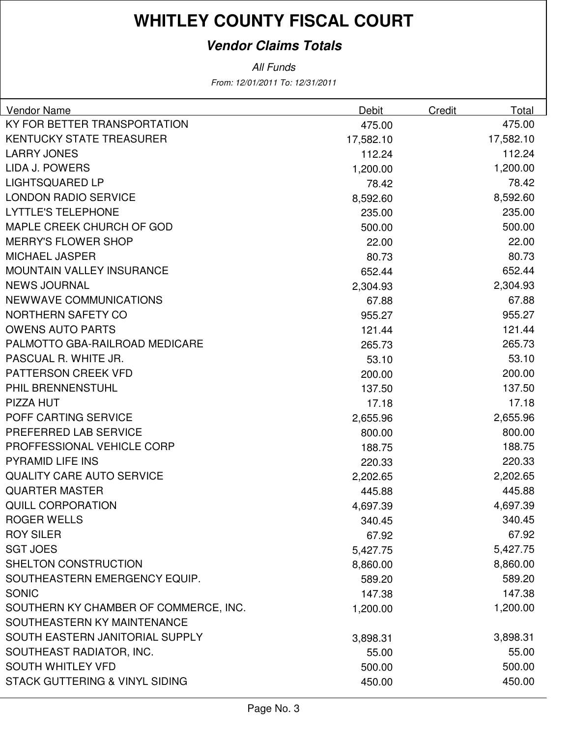#### **Vendor Claims Totals**

| Vendor Name                               | Debit     | Credit | Total     |
|-------------------------------------------|-----------|--------|-----------|
| KY FOR BETTER TRANSPORTATION              | 475.00    |        | 475.00    |
| <b>KENTUCKY STATE TREASURER</b>           | 17,582.10 |        | 17,582.10 |
| <b>LARRY JONES</b>                        | 112.24    |        | 112.24    |
| <b>LIDA J. POWERS</b>                     | 1,200.00  |        | 1,200.00  |
| <b>LIGHTSQUARED LP</b>                    | 78.42     |        | 78.42     |
| <b>LONDON RADIO SERVICE</b>               | 8,592.60  |        | 8,592.60  |
| <b>LYTTLE'S TELEPHONE</b>                 | 235.00    |        | 235.00    |
| MAPLE CREEK CHURCH OF GOD                 | 500.00    |        | 500.00    |
| <b>MERRY'S FLOWER SHOP</b>                | 22.00     |        | 22.00     |
| <b>MICHAEL JASPER</b>                     | 80.73     |        | 80.73     |
| <b>MOUNTAIN VALLEY INSURANCE</b>          | 652.44    |        | 652.44    |
| <b>NEWS JOURNAL</b>                       | 2,304.93  |        | 2,304.93  |
| <b>NEWWAVE COMMUNICATIONS</b>             | 67.88     |        | 67.88     |
| NORTHERN SAFETY CO                        | 955.27    |        | 955.27    |
| <b>OWENS AUTO PARTS</b>                   | 121.44    |        | 121.44    |
| PALMOTTO GBA-RAILROAD MEDICARE            | 265.73    |        | 265.73    |
| PASCUAL R. WHITE JR.                      | 53.10     |        | 53.10     |
| <b>PATTERSON CREEK VFD</b>                | 200.00    |        | 200.00    |
| PHIL BRENNENSTUHL                         | 137.50    |        | 137.50    |
| PIZZA HUT                                 | 17.18     |        | 17.18     |
| POFF CARTING SERVICE                      | 2,655.96  |        | 2,655.96  |
| PREFERRED LAB SERVICE                     | 800.00    |        | 800.00    |
| PROFFESSIONAL VEHICLE CORP                | 188.75    |        | 188.75    |
| <b>PYRAMID LIFE INS</b>                   | 220.33    |        | 220.33    |
| <b>QUALITY CARE AUTO SERVICE</b>          | 2,202.65  |        | 2,202.65  |
| <b>QUARTER MASTER</b>                     | 445.88    |        | 445.88    |
| <b>QUILL CORPORATION</b>                  | 4,697.39  |        | 4,697.39  |
| <b>ROGER WELLS</b>                        | 340.45    |        | 340.45    |
| <b>ROY SILER</b>                          | 67.92     |        | 67.92     |
| <b>SGT JOES</b>                           | 5,427.75  |        | 5,427.75  |
| SHELTON CONSTRUCTION                      | 8,860.00  |        | 8,860.00  |
| SOUTHEASTERN EMERGENCY EQUIP.             | 589.20    |        | 589.20    |
| <b>SONIC</b>                              | 147.38    |        | 147.38    |
| SOUTHERN KY CHAMBER OF COMMERCE, INC.     | 1,200.00  |        | 1,200.00  |
| SOUTHEASTERN KY MAINTENANCE               |           |        |           |
| SOUTH EASTERN JANITORIAL SUPPLY           | 3,898.31  |        | 3,898.31  |
| SOUTHEAST RADIATOR, INC.                  | 55.00     |        | 55.00     |
| <b>SOUTH WHITLEY VFD</b>                  | 500.00    |        | 500.00    |
| <b>STACK GUTTERING &amp; VINYL SIDING</b> | 450.00    |        | 450.00    |